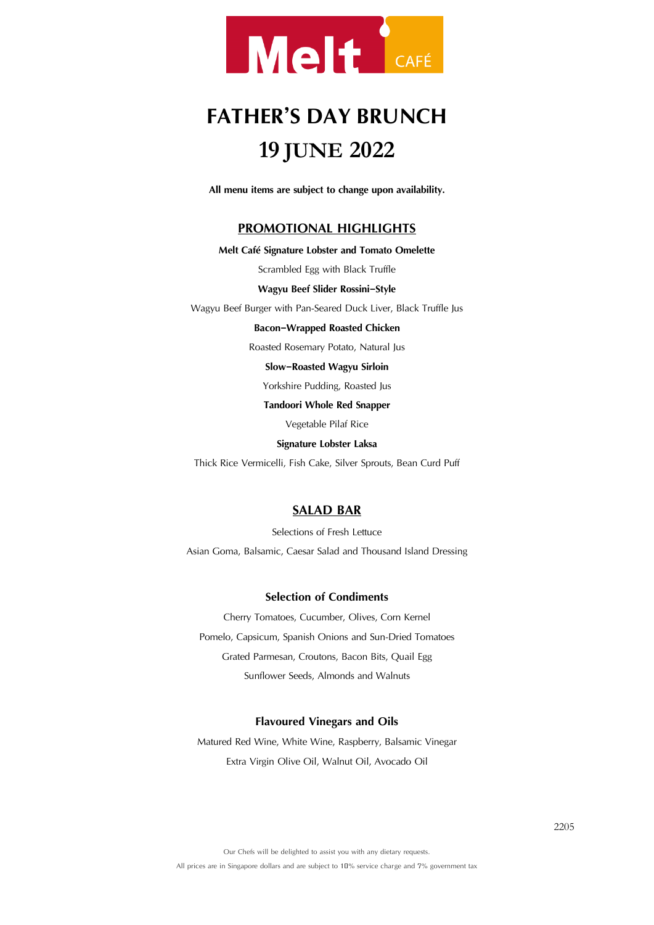

# **FATHER'S DAYBRUNCH 19 JUNE 2022**

**All menu items are subject to change upon availability.**

# **PROMOTIONAL HIGHLIGHTS**

## **Melt Café Signature Lobster and Tomato Omelette**

Scrambled Egg with Black Truffle

#### **Wagyu Beef Slider Rossini-Style**

Wagyu Beef Burger with Pan-Seared Duck Liver, Black Truffle Jus

#### **Bacon-Wrapped Roasted Chicken**

Roasted Rosemary Potato, Natural Jus

#### **Slow-Roasted Wagyu Sirloin**

Yorkshire Pudding, Roasted Jus

#### **Tandoori Whole Red Snapper**

Vegetable Pilaf Rice

#### **Signature Lobster Laksa**

Thick Rice Vermicelli, Fish Cake, Silver Sprouts, Bean Curd Puff

# **SALAD BAR**

Selections of Fresh Lettuce

Asian Goma, Balsamic, Caesar Salad and Thousand Island Dressing

## **Selection of Condiments**

Cherry Tomatoes, Cucumber, Olives, Corn Kernel Pomelo, Capsicum, Spanish Onions and Sun-Dried Tomatoes Grated Parmesan, Croutons, Bacon Bits, Quail Egg Sunflower Seeds, Almonds and Walnuts

## **Flavoured Vinegars and Oils**

Matured Red Wine, White Wine, Raspberry, Balsamic Vinegar Extra Virgin Olive Oil, Walnut Oil, Avocado Oil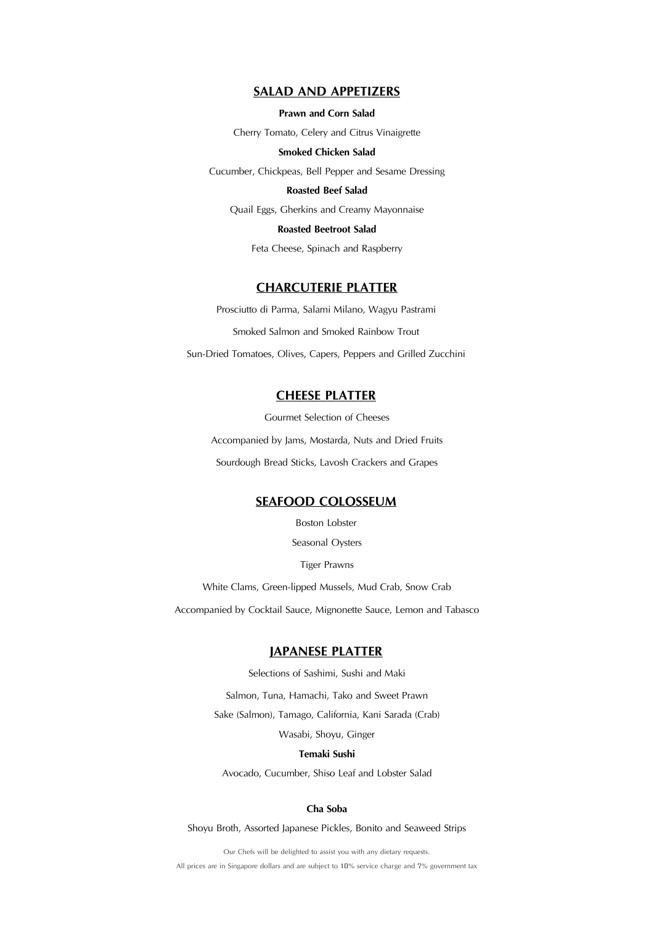## **SALAD AND APPETIZERS**

**Prawn and Corn Salad**

Cherry Tomato, Celery and Citrus Vinaigrette

## **Smoked Chicken Salad**

Cucumber, Chickpeas, Bell Pepper and Sesame Dressing

#### **Roasted Beef Salad**

Quail Eggs, Gherkins and Creamy Mayonnaise

**Roasted Beetroot Salad**

Feta Cheese, Spinach and Raspberry

# **CHARCUTERIE PLATTER**

Prosciutto di Parma, Salami Milano, Wagyu Pastrami Smoked Salmon and Smoked Rainbow Trout Sun-Dried Tomatoes, Olives, Capers, Peppers and Grilled Zucchini

# **CHEESE PLATTER**

Gourmet Selection of Cheeses Accompanied by Jams, Mostarda, Nuts and Dried Fruits Sourdough Bread Sticks, Lavosh Crackers and Grapes

# **SEAFOOD COLOSSEUM**

Boston Lobster

Seasonal Oysters

Tiger Prawns

White Clams, Green-lipped Mussels, Mud Crab, Snow Crab

Accompanied by Cocktail Sauce, Mignonette Sauce, Lemon and Tabasco

# **JAPANESE PLATTER**

Selections of Sashimi, Sushi and Maki Salmon, Tuna, Hamachi, Tako and Sweet Prawn Sake (Salmon), Tamago, California, Kani Sarada (Crab) Wasabi, Shoyu, Ginger

#### **Temaki Sushi**

Avocado, Cucumber, Shiso Leaf and Lobster Salad

#### **Cha Soba**

Shoyu Broth, Assorted Japanese Pickles, Bonito and Seaweed Strips

Our Chefs will be delighted to assist you with any dietary requests. All prices are in Singapore dollars and are subject to 10% service charge and 7% government tax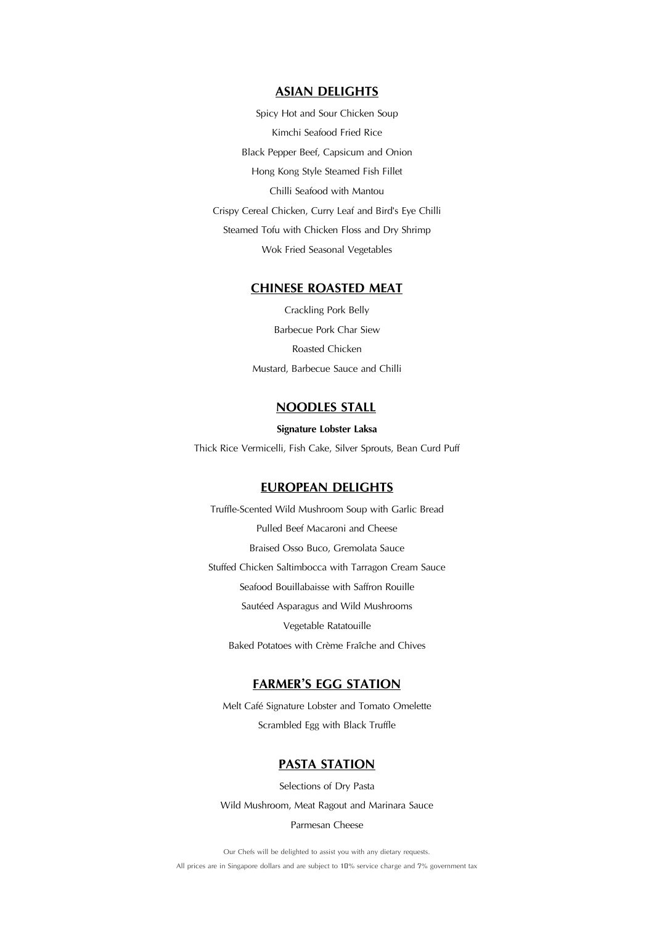# **ASIAN DELIGHTS**

Spicy Hot and Sour Chicken Soup Kimchi Seafood Fried Rice Black Pepper Beef, Capsicum and Onion Hong Kong Style Steamed Fish Fillet Chilli Seafood with Mantou Crispy Cereal Chicken, Curry Leaf and Bird's Eye Chilli Steamed Tofu with Chicken Floss and Dry Shrimp Wok Fried Seasonal Vegetables

# **CHINESE ROASTED MEAT**

Crackling Pork Belly Barbecue Pork Char Siew Roasted Chicken Mustard, Barbecue Sauce and Chilli

# **NOODLES STALL**

#### **Signature Lobster Laksa**

Thick Rice Vermicelli, Fish Cake, Silver Sprouts, Bean Curd Puff

# **EUROPEAN DELIGHTS**

Truffle-Scented Wild Mushroom Soup with Garlic Bread Pulled Beef Macaroni and Cheese Braised Osso Buco, Gremolata Sauce Stuffed Chicken Saltimbocca with Tarragon Cream Sauce Seafood Bouillabaisse with Saffron Rouille Sautéed Asparagus and Wild Mushrooms Vegetable Ratatouille Baked Potatoes with Crème Fraîche and Chives

# **FARMER'S EGG STATION**

Melt Café Signature Lobster and Tomato Omelette Scrambled Egg with Black Truffle

# **PASTA STATION**

Selections of Dry Pasta Wild Mushroom, Meat Ragout and Marinara Sauce

#### Parmesan Cheese

Our Chefs will be delighted to assist you with any dietary requests. All prices are in Singapore dollars and are subject to 10% service charge and 7% government tax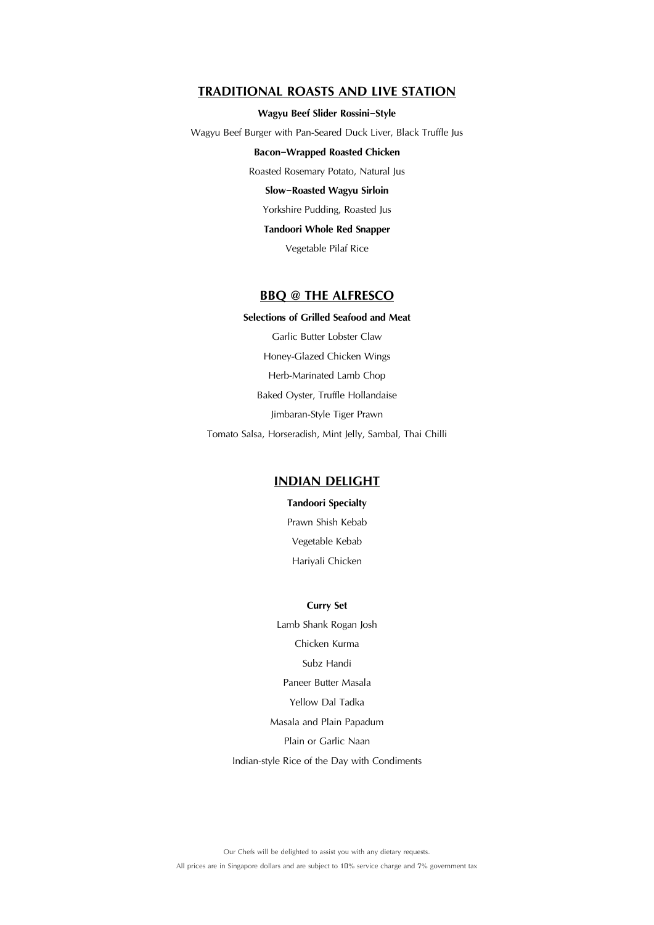# **TRADITIONAL ROASTS AND LIVE STATION**

#### **Wagyu Beef Slider Rossini-Style**

Wagyu Beef Burger with Pan-Seared Duck Liver, Black Truffle Jus

#### **Bacon-Wrapped Roasted Chicken**

Roasted Rosemary Potato, Natural Jus

#### **Slow-Roasted Wagyu Sirloin**

Yorkshire Pudding, Roasted Jus

# **Tandoori Whole Red Snapper**

Vegetable Pilaf Rice

# **BBQ @ THE ALFRESCO**

**Selections of Grilled Seafood and Meat** Garlic Butter Lobster Claw Honey-Glazed Chicken Wings Herb-Marinated Lamb Chop Baked Oyster, Truffle Hollandaise Jimbaran-Style Tiger Prawn Tomato Salsa, Horseradish, Mint Jelly, Sambal, Thai Chilli

# **INDIAN DELIGHT**

**Tandoori Specialty** Prawn Shish Kebab Vegetable Kebab Hariyali Chicken

## **Curry Set**

Lamb Shank Rogan Josh Chicken Kurma Subz Handi Paneer Butter Masala Yellow Dal Tadka Masala and Plain Papadum Plain or Garlic Naan

Indian-style Rice of the Day with Condiments